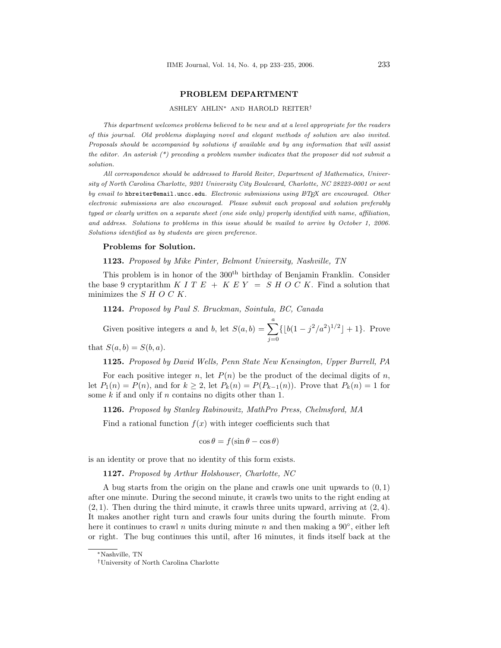## PROBLEM DEPARTMENT

## ASHLEY AHLIN<sup>∗</sup> AND HAROLD REITER†

This department welcomes problems believed to be new and at a level appropriate for the readers of this journal. Old problems displaying novel and elegant methods of solution are also invited. Proposals should be accompanied by solutions if available and by any information that will assist the editor. An asterisk  $(*)$  preceding a problem number indicates that the proposer did not submit a solution.

All correspondence should be addressed to Harold Reiter, Department of Mathematics, University of North Carolina Charlotte, 9201 University City Boulevard, Charlotte, NC 28223-0001 or sent by email to hbreiter@email.uncc.edu. Electronic submissions using  $\mathbb{P}T_F X$  are encouraged. Other electronic submissions are also encouraged. Please submit each proposal and solution preferably typed or clearly written on a separate sheet (one side only) properly identified with name, affiliation, and address. Solutions to problems in this issue should be mailed to arrive by October 1, 2006. Solutions identified as by students are given preference.

## Problems for Solution.

1123. Proposed by Mike Pinter, Belmont University, Nashville, TN

This problem is in honor of the  $300<sup>th</sup>$  birthday of Benjamin Franklin. Consider the base 9 cryptarithm K I T  $E + K E Y = S H O C K$ . Find a solution that minimizes the  $S$   $H$   $O$   $C$   $K$ .

1124. Proposed by Paul S. Bruckman, Sointula, BC, Canada

Given positive integers a and b, let  $S(a, b) = \sum_{n=1}^{a}$  $j=0$  $\{|b(1 - j^2/a^2)^{1/2}| + 1\}.$  Prove that  $S(a, b) = S(b, a)$ .

1125. Proposed by David Wells, Penn State New Kensington, Upper Burrell, PA

For each positive integer n, let  $P(n)$  be the product of the decimal digits of n, let  $P_1(n) = P(n)$ , and for  $k \geq 2$ , let  $P_k(n) = P(P_{k-1}(n))$ . Prove that  $P_k(n) = 1$  for some  $k$  if and only if  $n$  contains no digits other than 1.

1126. Proposed by Stanley Rabinowitz, MathPro Press, Chelmsford, MA

Find a rational function  $f(x)$  with integer coefficients such that

$$
\cos \theta = f(\sin \theta - \cos \theta)
$$

is an identity or prove that no identity of this form exists.

1127. Proposed by Arthur Holshouser, Charlotte, NC

A bug starts from the origin on the plane and crawls one unit upwards to  $(0, 1)$ after one minute. During the second minute, it crawls two units to the right ending at  $(2, 1)$ . Then during the third minute, it crawls three units upward, arriving at  $(2, 4)$ . It makes another right turn and crawls four units during the fourth minute. From here it continues to crawl n units during minute n and then making a  $90^{\circ}$ , either left or right. The bug continues this until, after 16 minutes, it finds itself back at the

<sup>∗</sup>Nashville, TN

<sup>†</sup>University of North Carolina Charlotte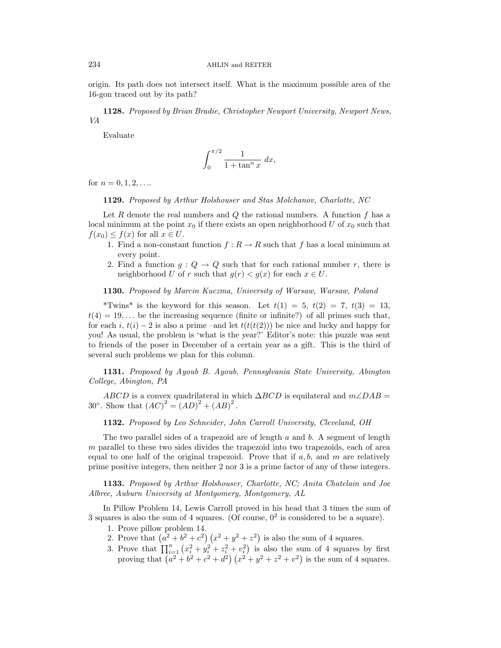origin. Its path does not intersect itself. What is the maximum possible area of the 16-gon traced out by its path?

1128. Proposed by Brian Bradie, Christopher Newport University, Newport News, VA

Evaluate

$$
\int_0^{\pi/2} \frac{1}{1 + \tan^n x} \, dx,
$$

for  $n = 0, 1, 2, \ldots$ 

1129. Proposed by Arthur Holshouser and Stas Molchanov, Charlotte, NC

Let R denote the real numbers and  $Q$  the rational numbers. A function  $f$  has a local minimum at the point  $x_0$  if there exists an open neighborhood U of  $x_0$  such that  $f(x_0) \leq f(x)$  for all  $x \in U$ .

- 1. Find a non-constant function  $f: R \to R$  such that f has a local minimum at every point.
- 2. Find a function  $g: Q \to Q$  such that for each rational number r, there is neighborhood U of r such that  $g(r) < g(x)$  for each  $x \in U$ .

1130. Proposed by Marcin Kuczma, University of Warsaw, Warsaw, Poland

\*Twins\* is the keyword for this season. Let  $t(1) = 5$ ,  $t(2) = 7$ ,  $t(3) = 13$ ,  $t(4) = 19, \ldots$  be the increasing sequence (finite or infinite?) of all primes such that, for each i,  $t(i) - 2$  is also a prime –and let  $t(t(t(2)))$  be nice and lucky and happy for you! As usual, the problem is 'what is the year?' Editor's note: this puzzle was sent to friends of the poser in December of a certain year as a gift. This is the third of several such problems we plan for this column.

1131. Proposed by Ayoub B. Ayoub, Pennsylvania State University, Abington College, Abington, PA

ABCD is a convex quadrilateral in which  $\Delta BCD$  is equilateral and  $m\angle DAB =$ 30°. Show that  $(AC)^2 = (AD)^2 + (AB)^2$ .

1132. Proposed by Leo Schneider, John Carroll University, Cleveland, OH

The two parallel sides of a trapezoid are of length  $a$  and  $b$ . A segment of length m parallel to these two sides divides the trapezoid into two trapezoids, each of area equal to one half of the original trapezoid. Prove that if  $a, b$ , and m are relatively prime positive integers, then neither 2 nor 3 is a prime factor of any of these integers.

1133. Proposed by Arthur Holshouser, Charlotte, NC; Anita Chatelain and Joe Albree, Auburn University at Montgomery, Montgomery, AL

In Pillow Problem 14, Lewis Carroll proved in his head that 3 times the sum of 3 squares is also the sum of 4 squares. (Of course,  $0^2$  is considered to be a square).

- 1. Prove pillow problem 14.
- 1. Prove pluow problem 14.<br>
2. Prove that  $(a^2 + b^2 + c^2)(x^2 + y^2 + z^2)$  $\left( \frac{z^2}{z^2} \right)$  is also the sum of 4 squares.
- 2. Frove that  $\prod_{i=1}^{n} (x_i^2 + y_i^2 + z_i^2 + v_i^2)$  is also the sum of 4 squares by first<br>
proving that  $(a^2 + b^2 + c^2 + d^2) (x^2 + y^2 + z^2 + v^2)$  is the sum of 4 squares. is the sum of 4 squares.